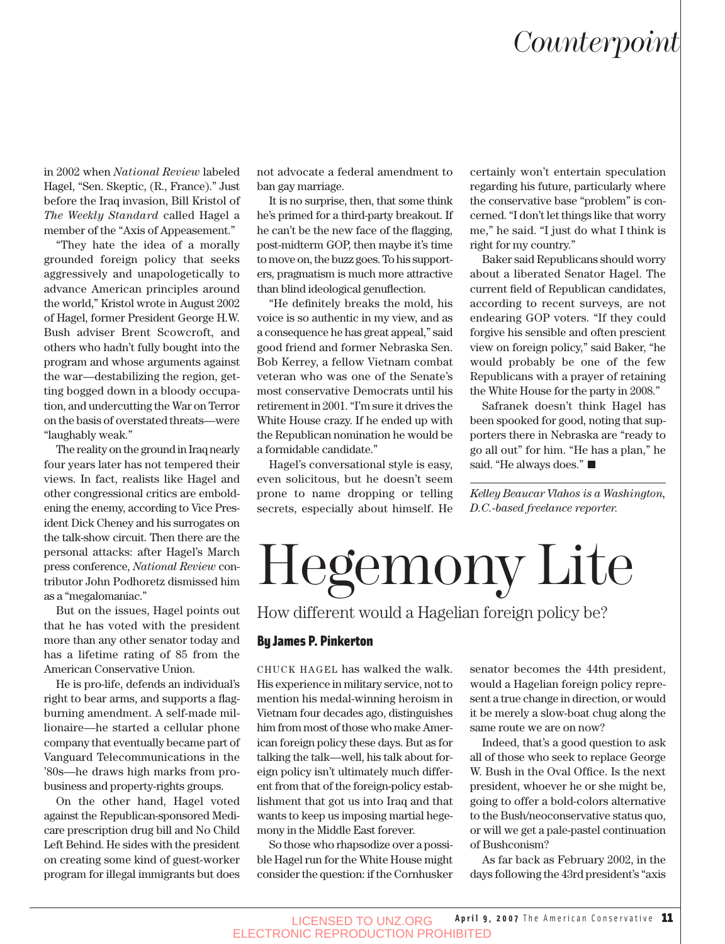### *Counterpoint*

in 2002 when *National Review* labeled Hagel, "Sen. Skeptic, (R., France)." Just before the Iraq invasion, Bill Kristol of *The Weekly Standard* called Hagel a member of the "Axis of Appeasement."

"They hate the idea of a morally grounded foreign policy that seeks aggressively and unapologetically to advance American principles around the world," Kristol wrote in August 2002 of Hagel, former President George H.W. Bush adviser Brent Scowcroft, and others who hadn't fully bought into the program and whose arguments against the war—destabilizing the region, getting bogged down in a bloody occupation, and undercutting the War on Terror on the basis of overstated threats—were "laughably weak."

The reality on the ground in Iraq nearly four years later has not tempered their views. In fact, realists like Hagel and other congressional critics are emboldening the enemy, according to Vice President Dick Cheney and his surrogates on the talk-show circuit. Then there are the personal attacks: after Hagel's March press conference, *National Review* contributor John Podhoretz dismissed him as a "megalomaniac."

But on the issues, Hagel points out that he has voted with the president more than any other senator today and has a lifetime rating of 85 from the American Conservative Union.

He is pro-life, defends an individual's right to bear arms, and supports a flagburning amendment. A self-made millionaire—he started a cellular phone company that eventually became part of Vanguard Telecommunications in the '80s—he draws high marks from probusiness and property-rights groups.

On the other hand, Hagel voted against the Republican-sponsored Medicare prescription drug bill and No Child Left Behind. He sides with the president on creating some kind of guest-worker program for illegal immigrants but does

not advocate a federal amendment to ban gay marriage.

It is no surprise, then, that some think he's primed for a third-party breakout. If he can't be the new face of the flagging, post-midterm GOP, then maybe it's time to move on, the buzz goes. To his supporters, pragmatism is much more attractive than blind ideological genuflection.

"He definitely breaks the mold, his voice is so authentic in my view, and as a consequence he has great appeal," said good friend and former Nebraska Sen. Bob Kerrey, a fellow Vietnam combat veteran who was one of the Senate's most conservative Democrats until his retirement in 2001. "I'm sure it drives the White House crazy. If he ended up with the Republican nomination he would be a formidable candidate."

Hagel's conversational style is easy, even solicitous, but he doesn't seem prone to name dropping or telling secrets, especially about himself. He certainly won't entertain speculation regarding his future, particularly where the conservative base "problem" is concerned. "I don't let things like that worry me," he said. "I just do what I think is right for my country."

Baker said Republicans should worry about a liberated Senator Hagel. The current field of Republican candidates, according to recent surveys, are not endearing GOP voters. "If they could forgive his sensible and often prescient view on foreign policy," said Baker, "he would probably be one of the few Republicans with a prayer of retaining the White House for the party in 2008."

Safranek doesn't think Hagel has been spooked for good, noting that supporters there in Nebraska are "ready to go all out" for him. "He has a plan," he said. "He always does." ■

*Kelley Beaucar Vlahos is a Washington, D.C.-based freelance reporter.*

# Hegemony Lite

How different would a Hagelian foreign policy be?

#### By James P. Pinkerton

CHUCK HAGEL has walked the walk. His experience in military service, not to mention his medal-winning heroism in Vietnam four decades ago, distinguishes him from most of those who make American foreign policy these days. But as for talking the talk—well, his talk about foreign policy isn't ultimately much different from that of the foreign-policy establishment that got us into Iraq and that wants to keep us imposing martial hegemony in the Middle East forever.

So those who rhapsodize over a possible Hagel run for the White House might consider the question: if the Cornhusker senator becomes the 44th president, would a Hagelian foreign policy represent a true change in direction, or would it be merely a slow-boat chug along the same route we are on now?

Indeed, that's a good question to ask all of those who seek to replace George W. Bush in the Oval Office. Is the next president, whoever he or she might be, going to offer a bold-colors alternative to the Bush/neoconservative status quo, or will we get a pale-pastel continuation of Bushconism?

As far back as February 2002, in the days following the 43rd president's "axis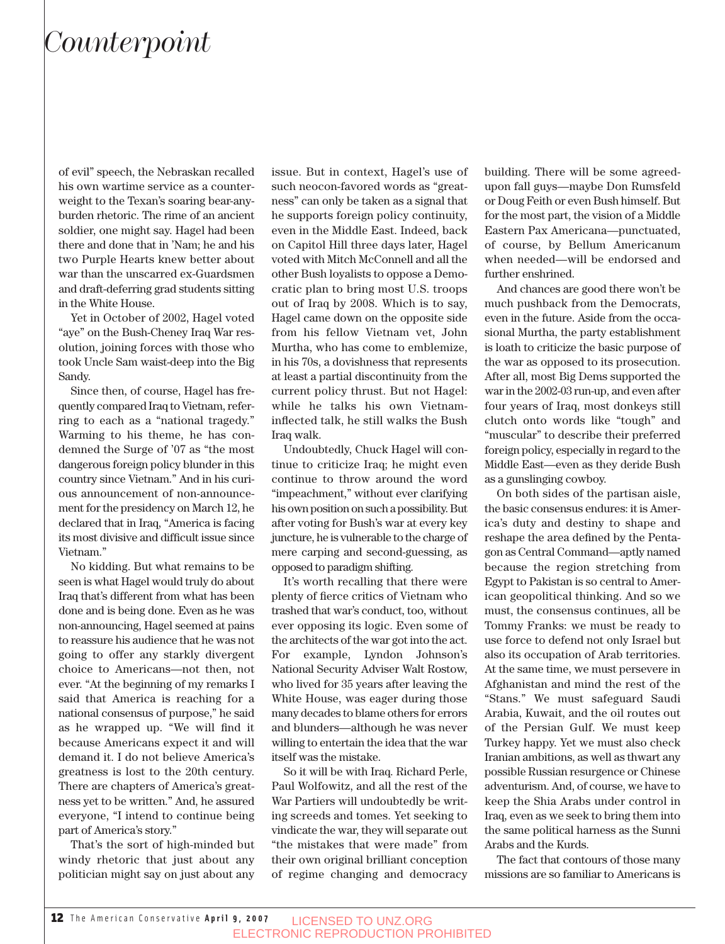## *Counterpoint*

of evil" speech, the Nebraskan recalled his own wartime service as a counterweight to the Texan's soaring bear-anyburden rhetoric. The rime of an ancient soldier, one might say. Hagel had been there and done that in 'Nam; he and his two Purple Hearts knew better about war than the unscarred ex-Guardsmen and draft-deferring grad students sitting in the White House.

Yet in October of 2002, Hagel voted "aye" on the Bush-Cheney Iraq War resolution, joining forces with those who took Uncle Sam waist-deep into the Big Sandy.

Since then, of course, Hagel has frequently compared Iraq to Vietnam, referring to each as a "national tragedy." Warming to his theme, he has condemned the Surge of '07 as "the most dangerous foreign policy blunder in this country since Vietnam." And in his curious announcement of non-announcement for the presidency on March 12, he declared that in Iraq, "America is facing its most divisive and difficult issue since Vietnam."

No kidding. But what remains to be seen is what Hagel would truly do about Iraq that's different from what has been done and is being done. Even as he was non-announcing, Hagel seemed at pains to reassure his audience that he was not going to offer any starkly divergent choice to Americans—not then, not ever. "At the beginning of my remarks I said that America is reaching for a national consensus of purpose," he said as he wrapped up. "We will find it because Americans expect it and will demand it. I do not believe America's greatness is lost to the 20th century. There are chapters of America's greatness yet to be written." And, he assured everyone, "I intend to continue being part of America's story."

That's the sort of high-minded but windy rhetoric that just about any politician might say on just about any

issue. But in context, Hagel's use of such neocon-favored words as "greatness" can only be taken as a signal that he supports foreign policy continuity, even in the Middle East. Indeed, back on Capitol Hill three days later, Hagel voted with Mitch McConnell and all the other Bush loyalists to oppose a Democratic plan to bring most U.S. troops out of Iraq by 2008. Which is to say, Hagel came down on the opposite side from his fellow Vietnam vet, John Murtha, who has come to emblemize, in his 70s, a dovishness that represents at least a partial discontinuity from the current policy thrust. But not Hagel: while he talks his own Vietnaminflected talk, he still walks the Bush Iraq walk.

Undoubtedly, Chuck Hagel will continue to criticize Iraq; he might even continue to throw around the word "impeachment," without ever clarifying his own position on such a possibility. But after voting for Bush's war at every key juncture, he is vulnerable to the charge of mere carping and second-guessing, as opposed to paradigm shifting.

It's worth recalling that there were plenty of fierce critics of Vietnam who trashed that war's conduct, too, without ever opposing its logic. Even some of the architects of the war got into the act. For example, Lyndon Johnson's National Security Adviser Walt Rostow, who lived for 35 years after leaving the White House, was eager during those many decades to blame others for errors and blunders—although he was never willing to entertain the idea that the war itself was the mistake.

So it will be with Iraq. Richard Perle, Paul Wolfowitz, and all the rest of the War Partiers will undoubtedly be writing screeds and tomes. Yet seeking to vindicate the war, they will separate out "the mistakes that were made" from their own original brilliant conception of regime changing and democracy building. There will be some agreedupon fall guys—maybe Don Rumsfeld or Doug Feith or even Bush himself. But for the most part, the vision of a Middle Eastern Pax Americana—punctuated, of course, by Bellum Americanum when needed—will be endorsed and further enshrined.

And chances are good there won't be much pushback from the Democrats, even in the future. Aside from the occasional Murtha, the party establishment is loath to criticize the basic purpose of the war as opposed to its prosecution. After all, most Big Dems supported the war in the 2002-03 run-up, and even after four years of Iraq, most donkeys still clutch onto words like "tough" and "muscular" to describe their preferred foreign policy, especially in regard to the Middle East—even as they deride Bush as a gunslinging cowboy.

On both sides of the partisan aisle, the basic consensus endures: it is America's duty and destiny to shape and reshape the area defined by the Pentagon as Central Command—aptly named because the region stretching from Egypt to Pakistan is so central to American geopolitical thinking. And so we must, the consensus continues, all be Tommy Franks: we must be ready to use force to defend not only Israel but also its occupation of Arab territories. At the same time, we must persevere in Afghanistan and mind the rest of the "Stans." We must safeguard Saudi Arabia, Kuwait, and the oil routes out of the Persian Gulf. We must keep Turkey happy. Yet we must also check Iranian ambitions, as well as thwart any possible Russian resurgence or Chinese adventurism. And, of course, we have to keep the Shia Arabs under control in Iraq, even as we seek to bring them into the same political harness as the Sunni Arabs and the Kurds.

The fact that contours of those many missions are so familiar to Americans is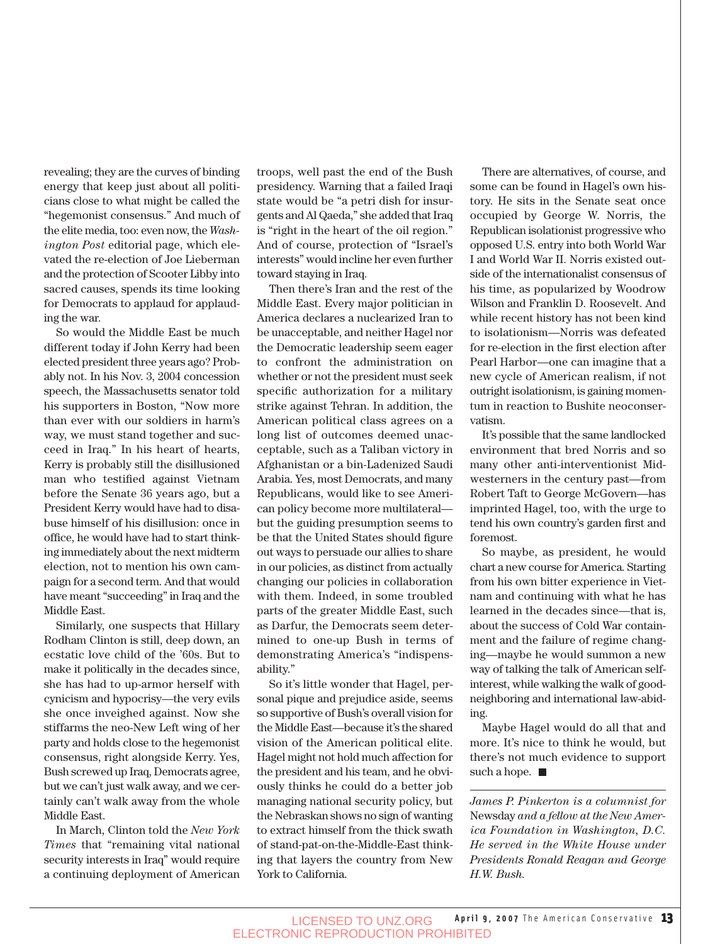revealing; they are the curves of binding energy that keep just about all politicians close to what might be called the "hegemonist consensus." And much of the elite media, too: even now, the *Washington Post* editorial page, which elevated the re-election of Joe Lieberman and the protection of Scooter Libby into sacred causes, spends its time looking for Democrats to applaud for applauding the war. So would the Middle East be much

different today if John Kerry had been elected president three years ago? Probably not. In his Nov. 3, 2004 concession speech, the Massachusetts senator told his supporters in Boston, "Now more than ever with our soldiers in harm's way, we must stand together and succeed in Iraq." In his heart of hearts, Kerry is probably still the disillusioned man who testified against Vietnam before the Senate 36 years ago, but a President Kerry would have had to disabuse himself of his disillusion: once in office, he would have had to start thinking immediately about the next midterm election, not to mention his own campaign for a second term. And that would have meant "succeeding" in Iraq and the Middle East.

Similarly, one suspects that Hillary Rodham Clinton is still, deep down, an ecstatic love child of the '60s. But to make it politically in the decades since, she has had to up-armor herself with cynicism and hypocrisy—the very evils she once inveighed against. Now she stiffarms the neo-New Left wing of her party and holds close to the hegemonist consensus, right alongside Kerry. Yes, Bush screwed up Iraq, Democrats agree, but we can't just walk away, and we certainly can't walk away from the whole Middle East.

In March, Clinton told the *New York Times* that "remaining vital national security interests in Iraq" would require a continuing deployment of American

troops, well past the end of the Bush presidency. Warning that a failed Iraqi state would be "a petri dish for insurgents and Al Qaeda," she added that Iraq is "right in the heart of the oil region." And of course, protection of "Israel's interests" would incline her even further toward staying in Iraq.

Then there's Iran and the rest of the Middle East. Every major politician in America declares a nuclearized Iran to be unacceptable, and neither Hagel nor the Democratic leadership seem eager to confront the administration on whether or not the president must seek specific authorization for a military strike against Tehran. In addition, the American political class agrees on a long list of outcomes deemed unacceptable, such as a Taliban victory in Afghanistan or a bin-Ladenized Saudi Arabia. Yes, most Democrats, and many Republicans, would like to see American policy become more multilateral but the guiding presumption seems to be that the United States should figure out ways to persuade our allies to share in our policies, as distinct from actually changing our policies in collaboration with them. Indeed, in some troubled parts of the greater Middle East, such as Darfur, the Democrats seem determined to one-up Bush in terms of demonstrating America's "indispensability."

So it's little wonder that Hagel, personal pique and prejudice aside, seems so supportive of Bush's overall vision for the Middle East—because it's the shared vision of the American political elite. Hagel might not hold much affection for the president and his team, and he obviously thinks he could do a better job managing national security policy, but the Nebraskan shows no sign of wanting to extract himself from the thick swath of stand-pat-on-the-Middle-East thinking that layers the country from New York to California.

There are alternatives, of course, and some can be found in Hagel's own history. He sits in the Senate seat once occupied by George W. Norris, the Republican isolationist progressive who opposed U.S. entry into both World War I and World War II. Norris existed outside of the internationalist consensus of his time, as popularized by Woodrow Wilson and Franklin D. Roosevelt. And while recent history has not been kind to isolationism—Norris was defeated for re-election in the first election after Pearl Harbor—one can imagine that a new cycle of American realism, if not outright isolationism, is gaining momentum in reaction to Bushite neoconservatism.

It's possible that the same landlocked environment that bred Norris and so many other anti-interventionist Midwesterners in the century past—from Robert Taft to George McGovern—has imprinted Hagel, too, with the urge to tend his own country's garden first and foremost.

So maybe, as president, he would chart a new course for America. Starting from his own bitter experience in Vietnam and continuing with what he has learned in the decades since—that is, about the success of Cold War containment and the failure of regime changing—maybe he would summon a new way of talking the talk of American selfinterest, while walking the walk of goodneighboring and international law-abiding.

Maybe Hagel would do all that and more. It's nice to think he would, but there's not much evidence to support such a hope.  $\blacksquare$ 

*James P. Pinkerton is a columnist for* Newsday *and a fellow at the New America Foundation in Washington, D.C. He served in the White House under Presidents Ronald Reagan and George H.W. Bush.*